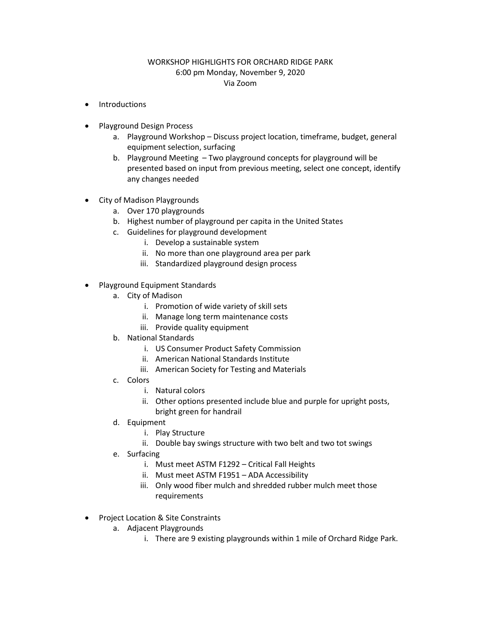## WORKSHOP HIGHLIGHTS FOR ORCHARD RIDGE PARK 6:00 pm Monday, November 9, 2020 Via Zoom

- **Introductions**
- Playground Design Process
	- a. Playground Workshop Discuss project location, timeframe, budget, general equipment selection, surfacing
	- b. Playground Meeting Two playground concepts for playground will be presented based on input from previous meeting, select one concept, identify any changes needed
- City of Madison Playgrounds
	- a. Over 170 playgrounds
	- b. Highest number of playground per capita in the United States
	- c. Guidelines for playground development
		- i. Develop a sustainable system
		- ii. No more than one playground area per park
		- iii. Standardized playground design process
- Playground Equipment Standards
	- a. City of Madison
		- i. Promotion of wide variety of skill sets
		- ii. Manage long term maintenance costs
		- iii. Provide quality equipment
	- b. National Standards
		- i. US Consumer Product Safety Commission
		- ii. American National Standards Institute
		- iii. American Society for Testing and Materials
	- c. Colors
		- i. Natural colors
		- ii. Other options presented include blue and purple for upright posts, bright green for handrail
	- d. Equipment
		- i. Play Structure
		- ii. Double bay swings structure with two belt and two tot swings
	- e. Surfacing
		- i. Must meet ASTM F1292 Critical Fall Heights
		- ii. Must meet ASTM F1951 ADA Accessibility
		- iii. Only wood fiber mulch and shredded rubber mulch meet those requirements
- Project Location & Site Constraints
	- a. Adjacent Playgrounds
		- i. There are 9 existing playgrounds within 1 mile of Orchard Ridge Park.